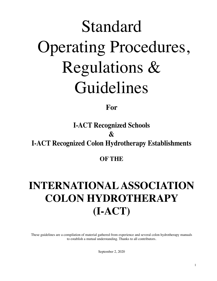# Standard Operating Procedures, Regulations & Guidelines

## **For**

# **I-ACT Recognized Schools & I-ACT Recognized Colon Hydrotherapy Establishments**

### **OF THE**

# **INTERNATIONAL ASSOCIATION COLON HYDROTHERAPY (I-ACT)**

These guidelines are a compilation of material gathered from experience and several colon hydrotherapy manuals to establish a mutual understanding. Thanks to all contributors.

September 2, 2020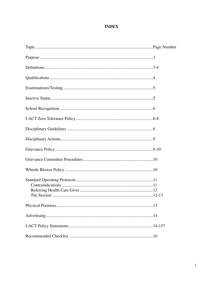#### **INDEX**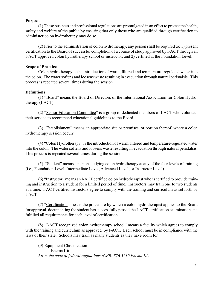#### **Purpose**

 (1) These business and professional regulations are promulgated in an effort to protect the health, safety and welfare of the public by ensuring that only those who are qualified through certification to administer colon hydrotherapy may do so.

(2) Prior to the administration of colon hydrotherapy, any person shall be required to: 1) present certification to the Board of successful completion of a course of study approved by I-ACT through an I-ACT approved colon hydrotherapy school or instructor, and 2) certified at the Foundation Level.

#### **Scope of Practice**

 Colon hydrotherapy is the introduction of warm, filtered and temperature-regulated water into the colon. The water softens and loosens waste resulting in evacuation through natural peristalsis. This process is repeated several times during the session.

#### **Definitions**

(1) "Board" means the Board of Directors of the International Association for Colon Hydrotherapy (I-ACT).

(2) "Senior Education Committee" is a group of dedicated members of I-ACT who volunteer their service to recommend educational guidelines to the Board.

(3) "Establishment" means an appropriate site or premises, or portion thereof, where a colon hydrotherapy session occurs

(4) "Colon Hydrotherapy" is the introduction of warm, filtered and temperature-regulated water into the colon. The water softens and loosens waste resulting in evacuation through natural peristalsis. This process is repeated several times during the session.

(5) "Student" means a person studying colon hydrotherapy at any of the four levels of training (i.e., Foundation Level, Intermediate Level, Advanced Level, or Instructor Level).

(6) "Instructor" means an I-ACT certified colon hydrotherapist who is certified to provide training and instruction to a student for a limited period of time. Instructors may train one to two students at a time. I-ACT certified instructors agree to comply with the training and curriculum as set forth by I-ACT.

(7) "Certification" means the procedure by which a colon hydrotherapist applies to the Board for approval, documenting the student has successfully passed the I-ACT certification examination and fulfilled all requirements for each level of certification.

(8) "I-ACT recognized colon hydrotherapy school" means a facility which agrees to comply with the training and curriculum as approved by I-ACT. Each school must be in compliance with the laws of their state. Schools may train as many students as they have room for.

(9) Equipment Classification Enema Kit *From the code of federal regulations (CFR) 876.5210 Enema Kit.*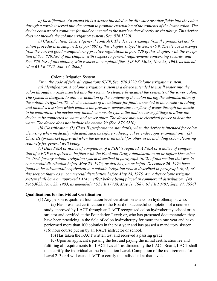a) Identification. An enema kit is a device intended to instill water or other fluids into the colon through a nozzle inserted into the rectum to promote evacuation of the contents of the lower colon. The device consists of a container for fluid connected to the nozzle either directly or via tubing. This device *does not include the colonic irrigation system (Sec. 876.5220).*

 *b) Classification. Class I (general controls). The device is exempt from the premarket notifi*cation procedures in subpart E of part 807 of this chapter subject to Sec. 876.9. The device is exempt *from the current good manufacturing practice regulations in part 820 of this chapter, with the exception of Sec. 820.180 of this chapter, with respect to general requirements concerning records, and* Sec. 820.198 of this chapter, with respect to complaint files. [48 FR 53023, Nov. 23, 1963, as amend*ed at 65 FR 2317, Jan. 14, 2000]*

#### Colonic Irrigation System

 *From the code of federal regulations (CFR)Sec. 876.5220 Colonic irrigation system. (a) Identification. A colonic irrigation system is a device intended to instill water into the colon through a nozzle inserted into the rectum to cleanse (evacuate) the contents of the lower colon. The system is designed to allow evacuation of the contents of the colon during the administration of the colonic irrigation. The device consists of a container for fluid connected to the nozzle via tubing and includes a system which enables the pressure, temperature, or flow of water through the nozzle to be controlled. The device may include a console-type toilet and necessary fittings to allow the device to be connected to water and sewer pipes. The device may use electrical power to heat the water. The device does not include the enema kit (Sec. 876.5210).* 

 *(b) Classification. (1) Class II (performance standards) when the device is intended for colon cleansing when medically indicated, such as before radiological or endoscopic examinations. (2) Class III (premarket approval) when the device is intended for other uses, including colon cleansing routinely for general well being.*

(c) Date PMA or notice of completion of a PDP is required. A PMA or a notice of completion of a PDP is required to be filed with the Food and Drug Administration on or before December *26, 1996 for any colonic irrigation system described in paragraph (b)(2) of this section that was in commercial distribution before May 28, 1976, or that has, on or before December 26, 1996 been found to be substantially equivalent to a colonic irrigation system described in paragraph (b)(2) of this section that was in commercial distribution before May 28, 1976. Any other colonic irrigation system shall have an approved PMA in effect before being placed in commercial distribution. [48* FR 53023, Nov. 23, 1983, as amended at 52 FR 17738, May 11, 1987; 61 FR 50707, Sept. 27, 1996]

#### **Qualifications for Individual Certification**

(1) Any person is qualified foundation level certification as a colon hydrotherapist who:

 (a) Has presented certification to the Board of successful completion of a course of study approved by I-ACT through an I-ACT recognized colon hydrotherapy school or instructor and certified at the Foundation Level; or, who has presented documentation they have been practicing in the field of colon hydrotherapy for more than one year and have performed more than 100 colonics in the past year and has passed a mandatory sixteen (16) hour course put on by an I-ACT instructor or school.

(b) Has taken the I-ACT written test and received a passing grade.

 (c) Upon an applicant's passing the test and paying the initial certification fee and fulfilling all requirements for I-ACT Level 1 as directed by the I-ACT Board, I-ACT shall then certify the individual at the Foundation Level. Completion of the requirements for Level 2, 3 or 4 will cause I-ACT to certify the individual at that level.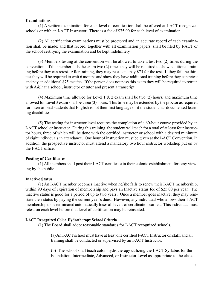#### **Examinations**

(1) A written examination for each level of certification shall be offered at I-ACT recognized schools or with an I-ACT Instructor. There is a fee of \$75.00 for each level of examination.

(2) All certification examinations must be proctored and an accurate record of each examination shall be made; and that record, together with all examination papers, shall be filed by I-ACT or the school certifying the examination and be kept indefinitely.

(3) Members testing at the convention will be allowed to take a test two (2) times during the convention. If the member fails the exam two (2) times they will be required to show additional training before they can retest. After training, they may retest and pay \$75 for the test. If they fail the third test they will be required to wait 6 months and show they have additional training before they can retest and pay an additional \$75 test fee. If the person does not pass this exam they will be required to retrain with A&P at a school, instructor or tutor and present a transcript.

(4) Maximum time allowed for Level 1  $\&$  2 exam shall be two (2) hours, and maximum time allowed for Level 3 exam shall be three (3) hours. This time may be extended by the proctor as required for international students that English is not their first language or if the student has documented learning disabilities.

(5) The testing for instructor level requires the completion of a 60-hour course provided by an I-ACT school or instructor. During this training, the student will teach for a total of at least four instructor hours, three of which will be done with the certified instructor or school with a desired minimum of eight individuals in attendance. One hour of instruction must be given at the I-ACT Convention. In addition, the prospective instructor must attend a mandatory two hour instructor workshop put on by the I-ACT office.

#### **Posting of Certificates**

(1) All members shall post their I-ACT certificate in their colonic establishment for easy viewing by the public.

#### **Inactive Status**

(1) An I-ACT member becomes inactive when he/she fails to renew their I-ACT membership, within 90 days of expiration of membership and pays an Inactive status fee of \$25.00 per year. The inactive status is good for a period of up to two years. Once a member goes inactive, they may reinstate their status by paying the current year's dues. However, any individual who allows their I-ACT membership to be terminated automatically loses all levels of certification earned. This individual must retest on each level before that level of certification may be reinstated.

#### **I-ACT Recognized Colon Hydrotherapy School Criteria**

(1) The Board shall adopt reasonable standards for I-ACT recognized schools.

(a) An I-ACT school must have at least one certified I-ACT Instructor on staff, and all training shall be conducted or supervised by an I-ACT Instructor.

(b) The school shall teach colon hydrotherapy utilizing the I-ACT Syllabus for the Foundation, Intermediate, Advanced, or Instructor Level as appropriate to the class.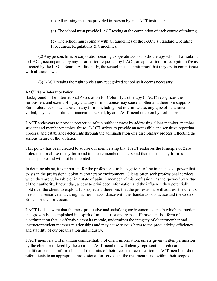(c) All training must be provided in-person by an I-ACT instructor.

(d) The school must provide I-ACT testing at the completion of each course of training.

(e) The school must comply with all guidelines of the I-ACT's Standard Operating Procedures, Regulations & Guidelines.

(2) Any person, firm, or corporation desiring to operate a colon hydrotherapy school shall submit to I-ACT, accompanied by any information requested by I-ACT, an application for recognition fee as directed by the I-ACT Board. Additionally, the school must submit proof that they are in compliance with all state laws.

(3) I-ACT retains the right to visit any recognized school as it deems necessary.

#### **I-ACT Zero Tolerance Policy**

Background: The International Association for Colon Hydrotherapy (I-ACT) recognizes the seriousness and extent of injury that any form of abuse may cause another and therefore supports Zero Tolerance of such abuse in any form, including, but not limited to, any type of harassment, verbal, physical, emotional, financial or sexual, by an I-ACT member colon hydrotherapist.

I-ACT endeavors to provide protection of the public interest by addressing client-member, memberstudent and member-member abuse. I-ACT strives to provide an accessible and sensitive reporting process, and establishes deterrents through the administration of a disciplinary process reflecting the serious nature of the violation.

This policy has been created to advise our membership that I-ACT endorses the Principle of Zero Tolerance for abuse in any form and to ensure members understand that abuse in any form is unacceptable and will not be tolerated.

In defining abuse, it is important for the professional to be cognizant of the imbalance of power that exists in the professional colon hydrotherapy environment. Clients often seek professional services when they are vulnerable or in a state of pain. A member of this profession has the 'power' by virtue of their authority, knowledge, access to privileged information and the influence they potentially hold over the client, to exploit. It is expected, therefore, that the professional will address the client's needs in a sensitive and caring manner in accordance with the Standards of Practice and the Code of Ethics for the profession.

I-ACT is also aware that the most productive and satisfying environment is one in which instruction and growth is accomplished in a spirit of mutual trust and respect. Harassment is a form of discrimination that is offensive, impairs morale, undermines the integrity of client/member and instructor/student member relationships and may cause serious harm to the productivity, efficiency and stability of our organization and industry.

I-ACT members will maintain confidentiality of client information, unless given written permission by the client or ordered by the courts. I-ACT members will clearly represent their educational qualifications and inform clients of the limits of their license or certification. I-ACT members should refer clients to an appropriate professional for services if the treatment is not within their scope of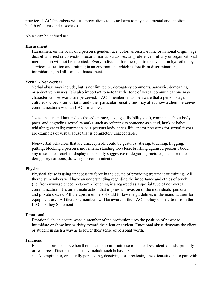practice. I-ACT members will use precautions to do no harm to physical, mental and emotional health of clients and associates.

Abuse can be defined as:

#### **Harassment**

Harassment on the basis of a person's gender, race, color, ancestry, ethnic or national origin , age, disability, arrest or conviction record, marital status, sexual preference, military or organizational membership will not be tolerated. Every individual has the right to receive colon hydrotherapy services, education and training in an environment which is free from discrimination, intimidation, and all forms of harassment.

#### **Verbal - Non-verbal**

Verbal abuse may include, but is not limited to, derogatory comments, sarcastic, demeaning or seductive remarks. It is also important to note that the tone of verbal communications may characterize how words are perceived. I-ACT members must be aware that a person's age, culture, socioeconomic status and other particular sensitivities may affect how a client perceives communications with an I-ACT member.

Jokes, insults and innuendoes (based on race, sex, age, disability, etc.), comments about body parts, and degrading sexual remarks, such as referring to someone as a stud, hunk or babe; whistling; cat calls; comments on a persons body or sex life, and/or pressures for sexual favors are examples of verbal abuse that is completely unacceptable.

Non-verbal behaviors that are unacceptable could be gestures, staring, touching, hugging, patting, blocking a person's movement, standing too close, brushing against a person's body, any unsolicited touch or display of sexually suggestive or degrading pictures, racist or other derogatory cartoons, drawings or communications.

#### **Physical**

Physical abuse is using unnecessary force in the course of providing treatment or training. All therapist members will have an understanding regarding the importance and ethics of touch (i.e. from www.sciencedirect.com - Touching is a regarded as a special type of non-verbal communication. It is an intimate action that implies an invasion of the individuals' personal and private space). All therapist members should follow the guidelines of the manufacturer for equipment use. All therapist members will be aware of the I-ACT policy on insertion from the I-ACT Policy Statement.

#### **Emotional**

Emotional abuse occurs when a member of the profession uses the position of power to intimidate or show insensitivity toward the client or student. Emotional abuse demeans the client or student in such a way as to lower their sense of personal worth.

#### **Financial**

Financial abuse occurs when there is an inappropriate use of a client's/student's funds, property or resources. Financial abuse may include such behaviors as:

a. Attempting to, or actually persuading, deceiving, or threatening the client/student to part with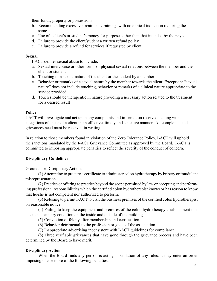their funds, property or possessions

- b. Recommending excessive treatments/trainings with no clinical indication requiring the same
- c. Use of a client's or student's money for purposes other than that intended by the payee
- d. Failure to provide the client/student a written refund policy
- e. Failure to provide a refund for services if requested by client

#### **Sexual**

I-ACT defines sexual abuse to include:

- a. Sexual intercourse or other forms of physical sexual relations between the member and the client or student
- b. Touching of a sexual nature of the client or the student by a member
- c. Behavior or remarks of a sexual nature by the member towards the client; Exception: "sexual nature" does not include touching, behavior or remarks of a clinical nature appropriate to the service provided
- d. Touch should be therapeutic in nature providing a necessary action related to the treatment for a desired result

#### **Policy**

I-ACT will investigate and act upon any complaints and information received dealing with allegations of abuse of a client in an effective, timely and sensitive manner. All complaints and grievances need must be received in writing.

In relation to those members found in violation of the Zero Tolerance Policy, I-ACT will uphold the sanctions mandated by the I-ACT Grievance Committee as approved by the Board. I-ACT is committed to imposing appropriate penalties to reflect the severity of the conduct of concern.

#### **Disciplinary Guidelines**

Grounds for Disciplinary Action:

(1) Attempting to procure a certificate to administer colon hydrotherapy by bribery or fraudulent misrepresentation.

(2) Practice or offering to practice beyond the scope permitted by law or accepting and performing professional responsibilities which the certified colon hydrotherapist knows or has reason to know that he/she is not competent nor authorized to perform.

(3) Refusing to permit I-ACT to visit the business premises of the certified colon hydrotherapist on reasonable notice.

(4) Failing to keep the equipment and premises of the colon hydrotherapy establishment in a clean and sanitary condition on the inside and outside of the building.

(5) Conviction of felony after membership and certification.

(6) Behavior detrimental to the profession or goals of the association.

(7) Inappropriate advertising inconsistent with I-ACT guidelines for compliance.

(8) Three verifiable grievances that have gone through the grievance process and have been determined by the Board to have merit.

#### **Disciplinary Action**

When the Board finds any person is acting in violation of any rules, it may enter an order imposing one or more of the following penalties: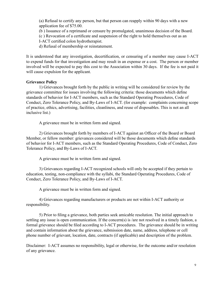(a) Refusal to certify any person, but that person can reapply within 90 days with a new application fee of \$75.00.

(b ) Issuance of a reprimand or censure by promulgated, unanimous decision of the Board.

(c ) Revocation of a certificate and suspension of the right to hold themselves out as an

I-ACT certified colon hydrotherapist.

d) Refusal of membership or reinstatement.

It is understood that any investigation, decertification, or censuring of a member may cause I-ACT to expend funds for that investigation and may result in an expense or a cost. The person or member involved will be expected to pay this cost to the Association within 30 days. If the fee is not paid it will cause expulsion for the applicant.

#### **Grievance Policy**

1) Grievances brought forth by the public in writing will be considered for review by the grievance committee for issues involving the following criteria: those documents which define standards of behavior for I-ACT members, such as the Standard Operating Procedures, Code of Conduct, Zero Tolerance Policy, and By-Laws of I-ACT. (for example: complaints concerning scope of practice, ethics, advertising, facilities, cleanliness, and reuse of disposables. This is not an all inclusive list.)

A grievance must be in written form and signed.

2) Grievances brought forth by members of I-ACT against an Officer of the Board or Board Member, or fellow member: grievances considered will be those documents which define standards of behavior for I-ACT members, such as the Standard Operating Procedures, Code of Conduct, Zero Tolerance Policy, and By-Laws of I-ACT.

A grievance must be in written form and signed.

3) Grievances regarding I-ACT recognized schools will only be accepted if they pertain to education, testing, non-compliance with the syllabi, the Standard Operating Procedures, Code of Conduct, Zero Tolerance Policy, and By-Laws of I-ACT.

A grievance must be in written form and signed.

4) Grievances regarding manufacturers or products are not within I-ACT authority or responsibility.

5) Prior to filing a grievance, both parties seek amicable resolution. The initial approach to settling any issue is open communication. If the concern(s) is /are not resolved in a timely fashion, a formal grievance should be filed according to I-ACT procedures. The grievance should be in writing and contain information about the grievance, submission date, name, address, telephone or cell phone number of grievant, location, date, contracts (if applicable) and description of the problem.

Disclaimer: I-ACT assumes no responsibility, legal or otherwise, for the outcome and/or resolution of any grievance.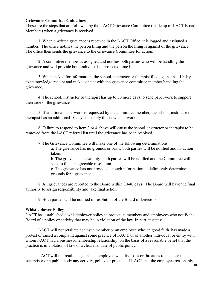#### **Grievance Committee Guidelines**

These are the steps that are followed by the I-ACT Grievance Committee (made up of I-ACT Board Members) when a grievance is received.

1. When a written grievance is received in the I-ACT Office, it is logged and assigned a number. The office notifies the person filing and the person the filing is against of the grievance. The office then sends the grievance to the Grievance Committee for action.

2. A committee member is assigned and notifies both parties who will be handling the grievance and will provide both individuals a projected time line.

3. When tasked for information, the school, instructor or therapist filed against has 10 days to acknowledge receipt and make contact with the grievance committee member handling the grievance.

4. The school, instructor or therapist has up to 30 more days to send paperwork to support their side of the grievance.

5. If additional paperwork is requested by the committee member, the school, instructor or therapist has an additional 10 days to supply this new paperwork.

6. Failure to respond to item 3 or 4 above will cause the school, instructor or therapist to be removed from the I-ACT referral list until the grievance has been resolved.

7. The Grievance Committee will make one of the following determinations:

a. The grievance has no grounds or basis; both parties will be notified and no action taken.

b. The grievance has validity; both parties will be notified and the Committee will seek to find an agreeable resolution.

c. The grievance has not provided enough information to definitively determine grounds for a grievance.

8. All grievances are reported to the Board within 30-40 days. The Board will have the final authority to assign responsibility and take final action.

9. Both parties will be notified of resolution of the Board of Directors.

#### **Whistleblower Policy**

I-ACT has established a whistleblower policy to protect its members and employees who notify the Board of a policy or activity that may be in violation of the law. In part, it states:

I-ACT will not retaliate against a member or an employee who, in good faith, has made a protest or raised a complaint against some practice of I-ACT, or of another individual or entity with whom I-ACT had a business/membership relationship, on the basis of a reasonable belief that the practice is in violation of law or a clear mandate of public policy.

I-ACT will not retaliate against an employee who discloses or threatens to disclose to a supervisor or a public body any activity, policy, or practice of I-ACT that the employee reasonably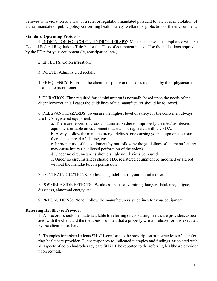believes is in violation of a law, or a rule, or regulation mandated pursuant to law or is in violation of a clear mandate or public policy concerning health, safety, welfare, or protection of the environment.

#### **Standard Operating Protocols**

1. INDICATION FOR COLON HYDROTHERAPY: Must be in absolute compliance with the Code of Federal Regulations Title 21 for the Class of equipment in use. Use the indications approved by the FDA for your equipment (ie, constipation, etc.)

2. EFFECTS: Colon irrigation.

3. ROUTE: Administered rectally.

4. FREQUENCY: Based on the client's response and need as indicated by their physician or healthcare practitioner.

5. DURATION: Time required for administration is normally based upon the needs of the client however, in all cases the guidelines of the manufacturer should be followed.

6. RELEVANT HAZARDS: To ensure the highest level of safety for the consumer, always use FDA registered equipment.

a. There are reports of cross contamination due to improperly cleaned/disinfected equipment or table on equipment that was not registered with the FDA.

 b. Always follow the manufacturer guidelines for cleansing your equipment to ensure there is no spread of disease, etc.

c. Improper use of the equipment by not following the guidelines of the manufacturer may cause injury (ie. alleged perforation of the colon).

d. Under no circumstances should single use devices be reused.

e. Under no circumstances should FDA registered equipment be modified or altered without the manufacturer's permission.

7. CONTRAINDICATIONS: Follow the guidelines of your manufacturer.

8. POSSIBLE SIDE EFFECTS: Weakness, nausea, vomiting, hunger, flatulence, fatigue, dizziness, abnormal energy, etc.

9. PRECAUTIONS: None. Follow the manufacturers guidelines for your equipment.

#### **Referring Healthcare Provider**

1. All records should be made available to referring or consulting healthcare providers associated with the client and the therapies provided that a properly written release form is executed by the client beforehand.

2. Therapies for referral clients SHALL conform to the prescription or instructions of the referring healthcare provider. Client responses to indicated therapies and findings associated with all aspects of colon hydrotherapy care SHALL be reported to the referring healthcare provider upon request.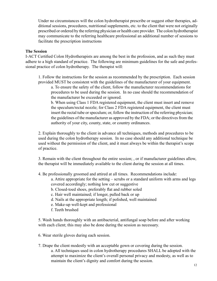Under no circumstances will the colon hydrotherapist prescribe or suggest other therapies, additional sessions, procedures, nutritional supplements, etc. to the client that were not originally prescribed or ordered by the referring physician or health care provider. The colon hydrotherapist may communicate to the referring healthcare professional an additional number of sessions to facilitate the prescription instructions

#### **The Session**

I-ACT Certified Colon Hydrotherapists are among the best in the profession, and as such they must adhere to a high standard of practice. The following are minimum guidelines for the safe and professional practice of colon hydrotherapy. The therapist will:

1. Follow the instructions for the session as recommended by the prescription. Each session provided MUST be consistent with the guidelines of the manufacturer of your equipment.

 a. To ensure the safety of the client, follow the manufacturer recommendations for procedures to be used during the session. In no case should the recommendation of the manufacturer be exceeded or ignored.

b. When using Class 1 FDA registered equipment, the client must insert and remove the speculum/rectal nozzle; for Class 2 FDA registered equipment, the client must insert the rectal tube or speculum; or, follow the instruction of the referring physician; the guidelines of the manufacturer as approved by the FDA; or the directives from the authority of your city, county, state, or country ordinances.

2. Explain thoroughly to the client in advance all techniques, methods and procedures to be used during the colon hydrotherapy session. In no case should any additional technique be used without the permission of the client, and it must always be within the therapist's scope of practice.

3. Remain with the client throughout the entire session; , or if manufacturer guidelines allow, the therapist will be immediately available to the client during the session at all times.

4. Be professionally groomed and attired at all times. Recommendations include:

a. Attire appropriate for the setting – scrubs or a standard uniform with arms and legs covered accordingly; nothing low cut or suggestive

- b. Closed-toed shoes, preferably flat and rubber soled
- c. Hair well maintained; if longer, pulled back or up
- d. Nails at the appropriate length; if polished, well maintained
- e. Make-up well-kept and professional
- f. Teeth brushed

5. Wash hands thoroughly with an antibacterial, antifungal soap before and after working with each client; this may also be done during the session as necessary.

6. Wear sterile gloves during each session.

7. Drape the client modestly with an acceptable gown or covering during the session. a. All techniques used in colon hydrotherapy procedures SHALL be adopted with the attempt to maximize the client's overall personal privacy and modesty, as well as to maintain the client's dignity and comfort during the session.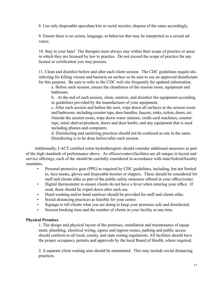8. Use only disposable speculum kits or rectal nozzles; dispose of the same accordingly.

9. Ensure there is no action, language, or behavior that may be interpreted as a sexual advance.

10. Stay in your lane! The therapist must always stay within their scope of practice or areas in which they are licensed by law to practice. Do not exceed the scope of practice for any license or certification you may possess.

11. Clean and disinfect before and after each client session. The CDC guidelines require disinfecting for killing viruses and bacteria on surface so be sure to use an approved disinfectant for this purpose. Be sure to refer to the CDC web site frequently for updated information.

a. Before each session, ensure the cleanliness of the session room, equipment and bathroom.

b. At the end of each session, clean, sanitize, and disinfect the equipment according to guidelines provided by the manufacturer of your equipment.

c. After each session and before the next, wipe down all surfaces in the session room and bathroom, including counter tops, door handles, faucets, sinks, toilets, doors, etc. Outside the session room, wipe down water stations, credit card machines, counter tops, retail shelves/products, doors and door knobs, and any equipment that is used including phones and computers.

d. Disinfecting and sanitizing practices should not be confused as one in the same. Disinfecting is to be done before/after each session.

Additionally, I-ACT certified colon hydrotherapists should consider additional measures as part of the high standards of performance above. As offices/centers/facilities are all unique in layout and service offerings, each of the should be carefully considered in accordance with state/federal/locality mandates.

- Personal protective gear (PPE) as required by CDC guidelines, including, but not limited to, face masks, gloves and disposable booties or slippers. These should be considered for staff and clients alike as part of the public safety measures offered in your office/center.
- Digital thermometer to ensure clients do not have a fever when entering your office. If used, these should be wiped down after each use.
- Hand washing and/or hand sanitizer should be provided for staff and clients alike.
- Social distancing practices as feasible for your center.
- Signage to tell clients what you are doing to keep your premises safe and disinfected.
- Session booking time and the number of clients in your facility at one time.

#### **Physical Premises**

1. The design and physical layout of the premises, installation and maintenance of equipment, plumbing, electrical wiring, egress and ingress routes, parking and public access should conform to all local, county, and state zoning regulations. All facilities should have the proper occupancy permits and approvals by the local Board of Health, where required.

2. A separate client waiting area should be maintained. This may include social distancing practices.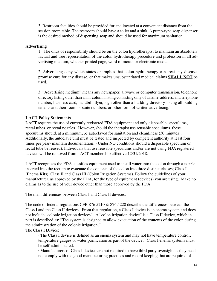3. Restroom facilities should be provided for and located at a convenient distance from the session room table. The restroom should have a toilet and a sink. A pump-type soap dispenser is the desired method of dispensing soap and should be used for maximum sanitation.

#### **Advertising**

1. The onus of responsibility should be on the colon hydrotherapist to maintain an absolutely factual and true representation of the colon hydrotherapy procedure and profession in all advertising medium, whether printed page, word of mouth or electronic media.

2. Advertising copy which states or implies that colon hydrotherapy can treat any disease, promise cure for any disease, or that makes unsubstantiated medical claims **SHALL NOT** be used.

3. "Advertising medium" means any newspaper, airwave or computer transmission, telephone directory listing other than an in-column listing consisting only of a name, address, and telephone number, business card, handbill, flyer, sign other than a building directory listing all building tenants and their room or suite numbers, or other form of written advertising."

#### **I-ACT Policy Statements**

I-ACT requires the use of currently registered FDA equipment and only disposable speculums, rectal tubes, or rectal nozzles. However, should the therapist use reusable speculums, these speculums should, at a minimum, be autoclaved for sanitation and cleanliness (30 minutes). Additionally, the autoclave unit must be tested and inspected by competent authority at least four times per year- maintain documentation. (Under NO conditions should a disposable speculum or rectal tube be reused). Individuals that use reusable speculums and/or are not using FDA registered devices will be removed from I-ACT membership effective 12/31/2018.

I-ACT recognizes the FDA classifies equipment used to instill water into the colon through a nozzle inserted into the rectum to evacuate the contents of the colon into three distinct classes; Class I (Enema Kits), Class II and Class III (Colon Irrigation Systems). Follow the guidelines of your manufacturer, as approved by the FDA, for the type of equipment (devices) you are using. Make no claims as to the use of your device other than those approved by the FDA.

The main differences between Class I and Class II devices:

The code of federal regulations CFR 876.5210 & 876.5220 describe the differences between the Class I and the Class II devices. From that regulation, a Class I device is an enema system and does not include "colonic irrigation devices". A "colon irrigation device" is a Class II device, which in part is described as: "The system is designed to allow evacuation of the contents of the colon during the administration of the colonic irrigation."

The Class I Device:

 · The Class I device is defined as an enema system and may not have temperature control, temperature gauges or water purification as part of the device. Class I enema systems must be self-administered.

 · Manufacturers of Class I devices are not required to have third party oversight as they need not comply with the good manufacturing practices and record keeping that are required of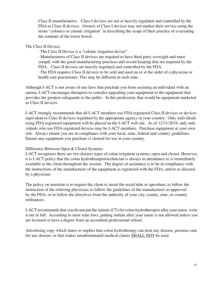Class II manufacturers. Class I devices are not as heavily regulated and controlled by the FDA as Class II devices. Owners of Class I devices may not market their service using the terms "colonics or colonic irrigation" in describing the scope of their practice of evacuating the contents of the lower bowel.

The Class II Device:

· The Class II Device is a "colonic irrigation device".

 · Manufacturers of Class II devices are required to have third party oversight and must comply with the good manufacturing practices and record keeping that are required by the FDA. Class II devices are heavily regulated and controlled by the FDA.

 · The FDA requires Class II devices to be sold and used on or at the order of a physician or health care practitioner. This may be different in each state.

Although I-ACT is not aware of any laws that preclude you from assisting an individual with an enema, I-ACT encourages therapists to consider upgrading your equipment to the equipment that provides the greatest safeguards to the public. In this profession, that would be equipment marketed as Class II devices.

I-ACT strongly recommends that all I-ACT members use FDA registered Class II devices or devices equivalent to Class II devices regulated by the appropriate agency in your country. Only individuals using FDA registered equipment will be placed on the I-ACT web site. As of 12/31/2018, only individuals who use FDA registered devices may be I-ACT members. Purchase equipment at your own risk. Always ensure you are in compliance with your local, state, federal and country guidelines. Ensure any equipment you purchase is cleared for use in your country.

Difference Between Open & Closed Systems:

I-ACT recognizes there are two distinct types of colon irrigation systems; open and closed. However, it is I-ACT policy that the colon hydrotherapist/technician is always in attendance or is immediately available to the client throughout the session. The degree of assistance is to be in compliance with the instructions of the manufacturer of the equipment as registered with the FDA, and/or as directed by a physician.

The policy on insertion is to require the client to insert the rectal tube or speculum; to follow the instruction of the referring physician; to follow the guidelines of the manufacturer as approved by the FDA; or to follow the directives from the authority of your city, county, state, or country ordinances.

I-ACT recommends that you do not put the initials (CT) for colon hydrotherapist after your name, write it out in full. According to most state laws, putting initials after your name is not allowed unless you are licensed or have a degree from an accredited professional school.

Advertising copy which states or implies that colon hydrotherapy can treat any disease, promise cure for any disease, or that makes unsubstantiated medical claims SHALL NOT be used.